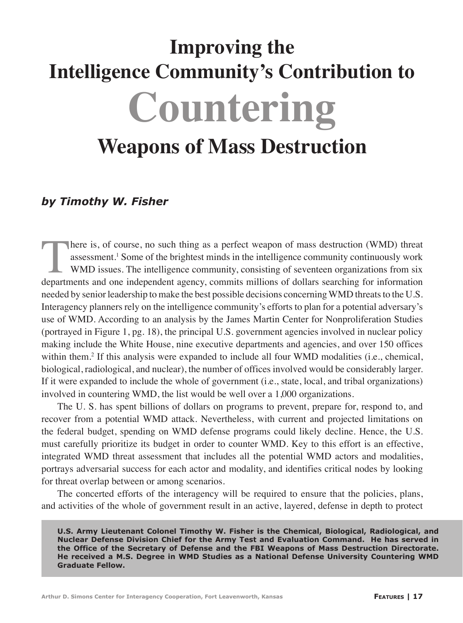# **Improving the Intelligence Community's Contribution to Countering Weapons of Mass Destruction**

# *by Timothy W. Fisher*

there is, of course, no such thing as a perfect weapon of mass destruction (WMD) threat assessment.<sup>1</sup> Some of the brightest minds in the intelligence community continuously work WMD issues. The intelligence community, consisting of seventeen organizations from six departments and one independent agency, commits millions of dollars searching for information needed by senior leadership to make the best possible decisions concerning WMD threats to the U.S. Interagency planners rely on the intelligence community's efforts to plan for a potential adversary's use of WMD. According to an analysis by the James Martin Center for Nonproliferation Studies (portrayed in Figure 1, pg. 18), the principal U.S. government agencies involved in nuclear policy making include the White House, nine executive departments and agencies, and over 150 offices within them.<sup>2</sup> If this analysis were expanded to include all four WMD modalities (i.e., chemical, biological, radiological, and nuclear), the number of offices involved would be considerably larger. If it were expanded to include the whole of government (i.e., state, local, and tribal organizations) involved in countering WMD, the list would be well over a 1,000 organizations.

The U. S. has spent billions of dollars on programs to prevent, prepare for, respond to, and recover from a potential WMD attack. Nevertheless, with current and projected limitations on the federal budget, spending on WMD defense programs could likely decline. Hence, the U.S. must carefully prioritize its budget in order to counter WMD. Key to this effort is an effective, integrated WMD threat assessment that includes all the potential WMD actors and modalities, portrays adversarial success for each actor and modality, and identifies critical nodes by looking for threat overlap between or among scenarios.

The concerted efforts of the interagency will be required to ensure that the policies, plans, and activities of the whole of government result in an active, layered, defense in depth to protect

**U.S. Army Lieutenant Colonel Timothy W. Fisher is the Chemical, Biological, Radiological, and Nuclear Defense Division Chief for the Army Test and Evaluation Command. He has served in the Office of the Secretary of Defense and the FBI Weapons of Mass Destruction Directorate. He received a M.S. Degree in WMD Studies as a National Defense University Countering WMD Graduate Fellow.**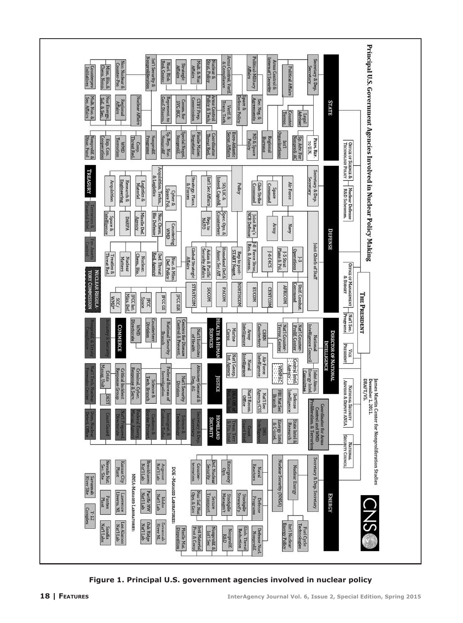

**Figure 1. Principal U.S. government agencies involved in nuclear policy**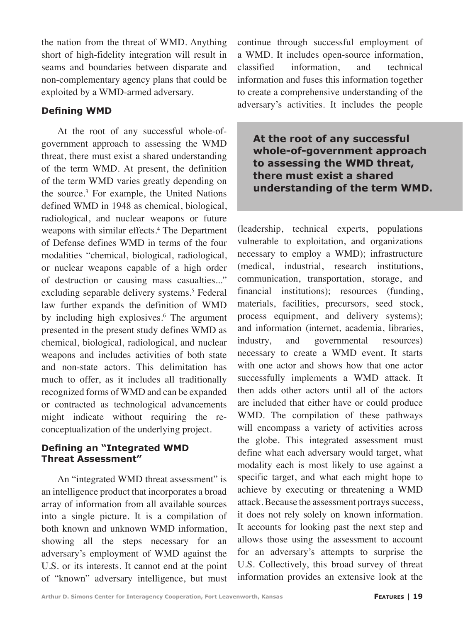the nation from the threat of WMD. Anything short of high-fidelity integration will result in seams and boundaries between disparate and non-complementary agency plans that could be exploited by a WMD-armed adversary.

## **Defining WMD**

At the root of any successful whole-ofgovernment approach to assessing the WMD threat, there must exist a shared understanding of the term WMD. At present, the definition of the term WMD varies greatly depending on the source.<sup>3</sup> For example, the United Nations defined WMD in 1948 as chemical, biological, radiological, and nuclear weapons or future weapons with similar effects.<sup>4</sup> The Department of Defense defines WMD in terms of the four modalities "chemical, biological, radiological, or nuclear weapons capable of a high order of destruction or causing mass casualties..." excluding separable delivery systems.<sup>5</sup> Federal law further expands the definition of WMD by including high explosives.<sup>6</sup> The argument presented in the present study defines WMD as chemical, biological, radiological, and nuclear weapons and includes activities of both state and non-state actors. This delimitation has much to offer, as it includes all traditionally recognized forms of WMD and can be expanded or contracted as technological advancements might indicate without requiring the reconceptualization of the underlying project.

### **Defining an "Integrated WMD Threat Assessment"**

An "integrated WMD threat assessment" is an intelligence product that incorporates a broad array of information from all available sources into a single picture. It is a compilation of both known and unknown WMD information, showing all the steps necessary for an adversary's employment of WMD against the U.S. or its interests. It cannot end at the point of "known" adversary intelligence, but must continue through successful employment of a WMD. It includes open-source information, classified information, and technical information and fuses this information together to create a comprehensive understanding of the adversary's activities. It includes the people

**At the root of any successful whole-of-government approach to assessing the WMD threat, there must exist a shared understanding of the term WMD.**

(leadership, technical experts, populations vulnerable to exploitation, and organizations necessary to employ a WMD); infrastructure (medical, industrial, research institutions, communication, transportation, storage, and financial institutions); resources (funding, materials, facilities, precursors, seed stock, process equipment, and delivery systems); and information (internet, academia, libraries, industry, and governmental resources) necessary to create a WMD event. It starts with one actor and shows how that one actor successfully implements a WMD attack. It then adds other actors until all of the actors are included that either have or could produce WMD. The compilation of these pathways will encompass a variety of activities across the globe. This integrated assessment must define what each adversary would target, what modality each is most likely to use against a specific target, and what each might hope to achieve by executing or threatening a WMD attack. Because the assessment portrays success, it does not rely solely on known information. It accounts for looking past the next step and allows those using the assessment to account for an adversary's attempts to surprise the U.S. Collectively, this broad survey of threat information provides an extensive look at the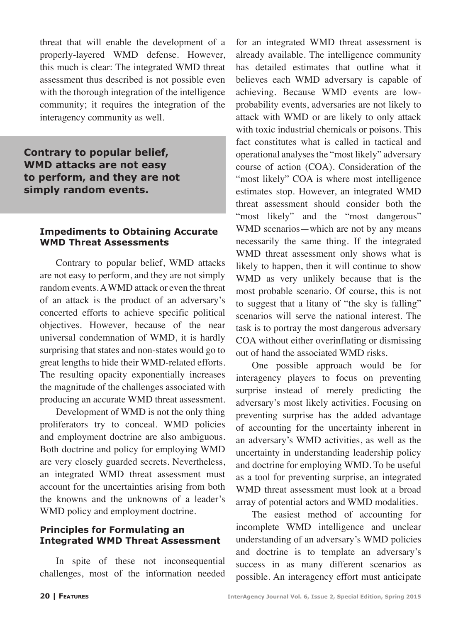threat that will enable the development of a properly-layered WMD defense. However, this much is clear: The integrated WMD threat assessment thus described is not possible even with the thorough integration of the intelligence community; it requires the integration of the interagency community as well.

**Contrary to popular belief, WMD attacks are not easy to perform, and they are not simply random events.**

#### **Impediments to Obtaining Accurate WMD Threat Assessments**

Contrary to popular belief, WMD attacks are not easy to perform, and they are not simply random events. A WMD attack or even the threat of an attack is the product of an adversary's concerted efforts to achieve specific political objectives. However, because of the near universal condemnation of WMD, it is hardly surprising that states and non-states would go to great lengths to hide their WMD-related efforts. The resulting opacity exponentially increases the magnitude of the challenges associated with producing an accurate WMD threat assessment.

Development of WMD is not the only thing proliferators try to conceal. WMD policies and employment doctrine are also ambiguous. Both doctrine and policy for employing WMD are very closely guarded secrets. Nevertheless, an integrated WMD threat assessment must account for the uncertainties arising from both the knowns and the unknowns of a leader's WMD policy and employment doctrine.

### **Principles for Formulating an Integrated WMD Threat Assessment**

In spite of these not inconsequential challenges, most of the information needed

for an integrated WMD threat assessment is already available. The intelligence community has detailed estimates that outline what it believes each WMD adversary is capable of achieving. Because WMD events are lowprobability events, adversaries are not likely to attack with WMD or are likely to only attack with toxic industrial chemicals or poisons. This fact constitutes what is called in tactical and operational analyses the "most likely" adversary course of action (COA). Consideration of the "most likely" COA is where most intelligence estimates stop. However, an integrated WMD threat assessment should consider both the "most likely" and the "most dangerous" WMD scenarios—which are not by any means necessarily the same thing. If the integrated WMD threat assessment only shows what is likely to happen, then it will continue to show WMD as very unlikely because that is the most probable scenario. Of course, this is not to suggest that a litany of "the sky is falling" scenarios will serve the national interest. The task is to portray the most dangerous adversary COA without either overinflating or dismissing out of hand the associated WMD risks.

One possible approach would be for interagency players to focus on preventing surprise instead of merely predicting the adversary's most likely activities. Focusing on preventing surprise has the added advantage of accounting for the uncertainty inherent in an adversary's WMD activities, as well as the uncertainty in understanding leadership policy and doctrine for employing WMD. To be useful as a tool for preventing surprise, an integrated WMD threat assessment must look at a broad array of potential actors and WMD modalities.

The easiest method of accounting for incomplete WMD intelligence and unclear understanding of an adversary's WMD policies and doctrine is to template an adversary's success in as many different scenarios as possible. An interagency effort must anticipate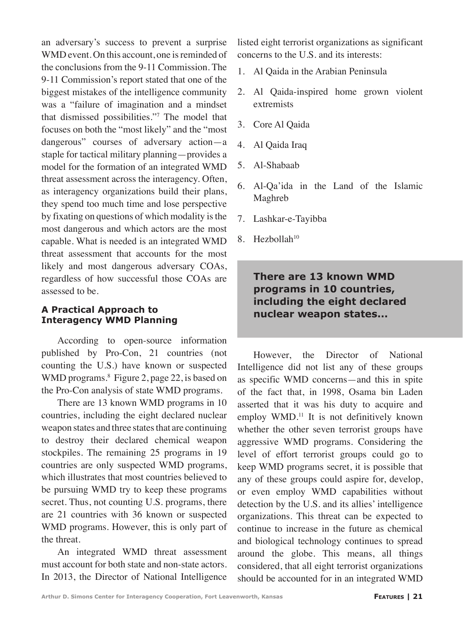an adversary's success to prevent a surprise WMD event. On this account, one is reminded of the conclusions from the 9-11 Commission. The 9-11 Commission's report stated that one of the biggest mistakes of the intelligence community was a "failure of imagination and a mindset that dismissed possibilities."<sup>7</sup> The model that focuses on both the "most likely" and the "most dangerous" courses of adversary action—a staple for tactical military planning—provides a model for the formation of an integrated WMD threat assessment across the interagency. Often, as interagency organizations build their plans, they spend too much time and lose perspective by fixating on questions of which modality is the most dangerous and which actors are the most capable. What is needed is an integrated WMD threat assessment that accounts for the most likely and most dangerous adversary COAs, regardless of how successful those COAs are assessed to be.

## **A Practical Approach to Interagency WMD Planning**

According to open-source information published by Pro-Con, 21 countries (not counting the U.S.) have known or suspected WMD programs.<sup>8</sup> Figure 2, page 22, is based on the Pro-Con analysis of state WMD programs.

There are 13 known WMD programs in 10 countries, including the eight declared nuclear weapon states and three states that are continuing to destroy their declared chemical weapon stockpiles. The remaining 25 programs in 19 countries are only suspected WMD programs, which illustrates that most countries believed to be pursuing WMD try to keep these programs secret. Thus, not counting U.S. programs, there are 21 countries with 36 known or suspected WMD programs. However, this is only part of the threat.

An integrated WMD threat assessment must account for both state and non-state actors. In 2013, the Director of National Intelligence

listed eight terrorist organizations as significant concerns to the U.S. and its interests:

- 1. Al Qaida in the Arabian Peninsula
- 2. Al Qaida-inspired home grown violent extremists
- 3. Core Al Qaida
- 4. Al Qaida Iraq
- 5. Al-Shabaab
- 6. Al-Qa'ida in the Land of the Islamic Maghreb
- 7. Lashkar-e-Tayibba
- $8.$  Hezbollah<sup>10</sup>

# **There are 13 known WMD programs in 10 countries, including the eight declared nuclear weapon states...**

However, the Director of National Intelligence did not list any of these groups as specific WMD concerns—and this in spite of the fact that, in 1998, Osama bin Laden asserted that it was his duty to acquire and employ WMD.<sup>11</sup> It is not definitively known whether the other seven terrorist groups have aggressive WMD programs. Considering the level of effort terrorist groups could go to keep WMD programs secret, it is possible that any of these groups could aspire for, develop, or even employ WMD capabilities without detection by the U.S. and its allies' intelligence organizations. This threat can be expected to continue to increase in the future as chemical and biological technology continues to spread around the globe. This means, all things considered, that all eight terrorist organizations should be accounted for in an integrated WMD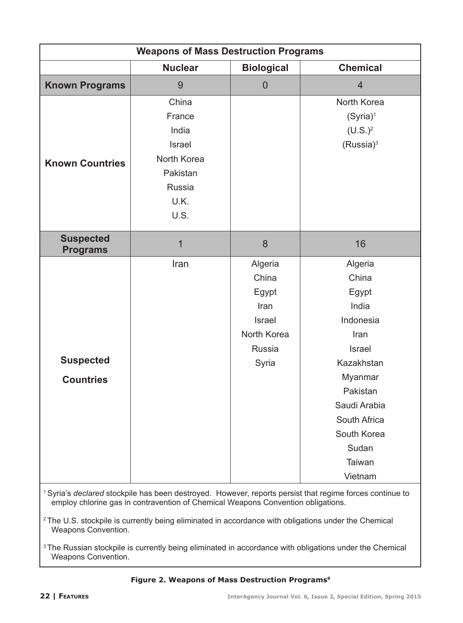| <b>Weapons of Mass Destruction Programs</b>                                                                                                                                                                                                                                                                                                       |                                                                                         |                                                                               |                                                                                                                                                                                     |
|---------------------------------------------------------------------------------------------------------------------------------------------------------------------------------------------------------------------------------------------------------------------------------------------------------------------------------------------------|-----------------------------------------------------------------------------------------|-------------------------------------------------------------------------------|-------------------------------------------------------------------------------------------------------------------------------------------------------------------------------------|
|                                                                                                                                                                                                                                                                                                                                                   | <b>Nuclear</b>                                                                          | <b>Biological</b>                                                             | <b>Chemical</b>                                                                                                                                                                     |
| <b>Known Programs</b>                                                                                                                                                                                                                                                                                                                             | 9                                                                                       | $\overline{0}$                                                                | $\overline{4}$                                                                                                                                                                      |
| <b>Known Countries</b>                                                                                                                                                                                                                                                                                                                            | China<br>France<br>India<br>Israel<br>North Korea<br>Pakistan<br>Russia<br>U.K.<br>U.S. |                                                                               | North Korea<br>$(Syria)^1$<br>$(U.S.)^2$<br>(Russia) <sup>3</sup>                                                                                                                   |
| <b>Suspected</b><br><b>Programs</b>                                                                                                                                                                                                                                                                                                               | $\mathbf{1}$                                                                            | 8                                                                             | 16                                                                                                                                                                                  |
| <b>Suspected</b><br><b>Countries</b>                                                                                                                                                                                                                                                                                                              | Iran                                                                                    | Algeria<br>China<br>Egypt<br>Iran<br>Israel<br>North Korea<br>Russia<br>Syria | Algeria<br>China<br>Egypt<br>India<br>Indonesia<br>Iran<br>Israel<br>Kazakhstan<br>Myanmar<br>Pakistan<br>Saudi Arabia<br>South Africa<br>South Korea<br>Sudan<br>Taiwan<br>Vietnam |
| <sup>1</sup> Syria's declared stockpile has been destroyed. However, reports persist that regime forces continue to<br>employ chlorine gas in contravention of Chemical Weapons Convention obligations.<br><sup>2</sup> The U.S. stockpile is currently being eliminated in accordance with obligations under the Chemical<br>Weapons Convention. |                                                                                         |                                                                               |                                                                                                                                                                                     |

3 The Russian stockpile is currently being eliminated in accordance with obligations under the Chemical Weapons Convention.

#### **Figure 2. Weapons of Mass Destruction Programs9**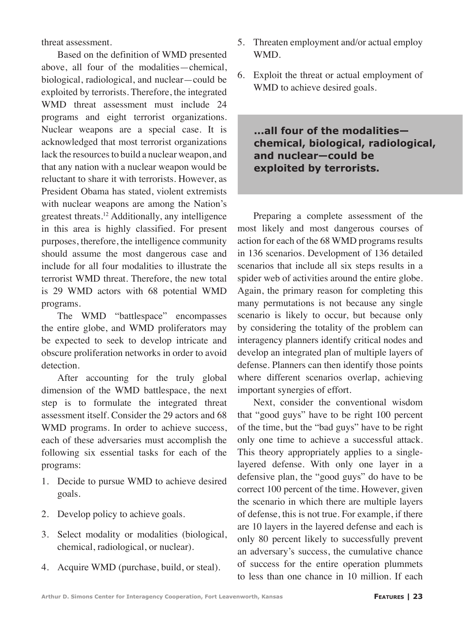threat assessment.

Based on the definition of WMD presented above, all four of the modalities—chemical, biological, radiological, and nuclear—could be exploited by terrorists. Therefore, the integrated WMD threat assessment must include 24 programs and eight terrorist organizations. Nuclear weapons are a special case. It is acknowledged that most terrorist organizations lack the resources to build a nuclear weapon, and that any nation with a nuclear weapon would be reluctant to share it with terrorists. However, as President Obama has stated, violent extremists with nuclear weapons are among the Nation's greatest threats.<sup>12</sup> Additionally, any intelligence in this area is highly classified. For present purposes, therefore, the intelligence community should assume the most dangerous case and include for all four modalities to illustrate the terrorist WMD threat. Therefore, the new total is 29 WMD actors with 68 potential WMD programs.

The WMD "battlespace" encompasses the entire globe, and WMD proliferators may be expected to seek to develop intricate and obscure proliferation networks in order to avoid detection.

After accounting for the truly global dimension of the WMD battlespace, the next step is to formulate the integrated threat assessment itself. Consider the 29 actors and 68 WMD programs. In order to achieve success, each of these adversaries must accomplish the following six essential tasks for each of the programs:

- 1. Decide to pursue WMD to achieve desired goals.
- 2. Develop policy to achieve goals.
- 3. Select modality or modalities (biological, chemical, radiological, or nuclear).
- 4. Acquire WMD (purchase, build, or steal).
- 5. Threaten employment and/or actual employ WMD.
- 6. Exploit the threat or actual employment of WMD to achieve desired goals.

**...all four of the modalities chemical, biological, radiological, and nuclear—could be exploited by terrorists.**

Preparing a complete assessment of the most likely and most dangerous courses of action for each of the 68 WMD programs results in 136 scenarios. Development of 136 detailed scenarios that include all six steps results in a spider web of activities around the entire globe. Again, the primary reason for completing this many permutations is not because any single scenario is likely to occur, but because only by considering the totality of the problem can interagency planners identify critical nodes and develop an integrated plan of multiple layers of defense. Planners can then identify those points where different scenarios overlap, achieving important synergies of effort.

Next, consider the conventional wisdom that "good guys" have to be right 100 percent of the time, but the "bad guys" have to be right only one time to achieve a successful attack. This theory appropriately applies to a singlelayered defense. With only one layer in a defensive plan, the "good guys" do have to be correct 100 percent of the time. However, given the scenario in which there are multiple layers of defense, this is not true. For example, if there are 10 layers in the layered defense and each is only 80 percent likely to successfully prevent an adversary's success, the cumulative chance of success for the entire operation plummets to less than one chance in 10 million. If each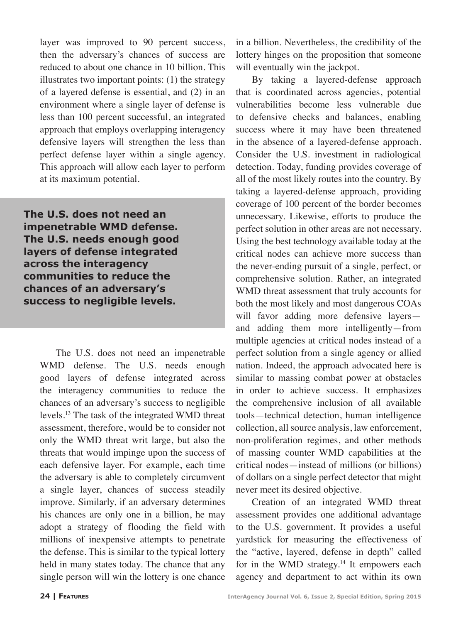layer was improved to 90 percent success, then the adversary's chances of success are reduced to about one chance in 10 billion. This illustrates two important points: (1) the strategy of a layered defense is essential, and (2) in an environment where a single layer of defense is less than 100 percent successful, an integrated approach that employs overlapping interagency defensive layers will strengthen the less than perfect defense layer within a single agency. This approach will allow each layer to perform at its maximum potential.

**The U.S. does not need an impenetrable WMD defense. The U.S. needs enough good layers of defense integrated across the interagency communities to reduce the chances of an adversary's success to negligible levels.**

> The U.S. does not need an impenetrable WMD defense. The U.S. needs enough good layers of defense integrated across the interagency communities to reduce the chances of an adversary's success to negligible levels.<sup>13</sup> The task of the integrated WMD threat assessment, therefore, would be to consider not only the WMD threat writ large, but also the threats that would impinge upon the success of each defensive layer. For example, each time the adversary is able to completely circumvent a single layer, chances of success steadily improve. Similarly, if an adversary determines his chances are only one in a billion, he may adopt a strategy of flooding the field with millions of inexpensive attempts to penetrate the defense. This is similar to the typical lottery held in many states today. The chance that any single person will win the lottery is one chance

in a billion. Nevertheless, the credibility of the lottery hinges on the proposition that someone will eventually win the jackpot.

By taking a layered-defense approach that is coordinated across agencies, potential vulnerabilities become less vulnerable due to defensive checks and balances, enabling success where it may have been threatened in the absence of a layered-defense approach. Consider the U.S. investment in radiological detection. Today, funding provides coverage of all of the most likely routes into the country. By taking a layered-defense approach, providing coverage of 100 percent of the border becomes unnecessary. Likewise, efforts to produce the perfect solution in other areas are not necessary. Using the best technology available today at the critical nodes can achieve more success than the never-ending pursuit of a single, perfect, or comprehensive solution. Rather, an integrated WMD threat assessment that truly accounts for both the most likely and most dangerous COAs will favor adding more defensive layers and adding them more intelligently—from multiple agencies at critical nodes instead of a perfect solution from a single agency or allied nation. Indeed, the approach advocated here is similar to massing combat power at obstacles in order to achieve success. It emphasizes the comprehensive inclusion of all available tools—technical detection, human intelligence collection, all source analysis, law enforcement, non-proliferation regimes, and other methods of massing counter WMD capabilities at the critical nodes—instead of millions (or billions) of dollars on a single perfect detector that might never meet its desired objective.

Creation of an integrated WMD threat assessment provides one additional advantage to the U.S. government. It provides a useful yardstick for measuring the effectiveness of the "active, layered, defense in depth" called for in the WMD strategy.<sup>14</sup> It empowers each agency and department to act within its own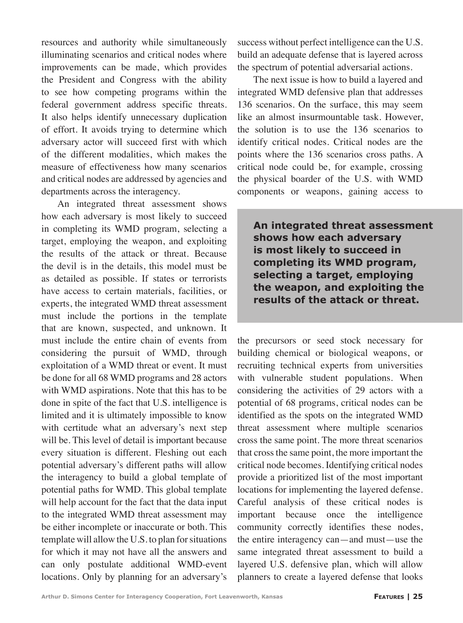resources and authority while simultaneously illuminating scenarios and critical nodes where improvements can be made, which provides the President and Congress with the ability to see how competing programs within the federal government address specific threats. It also helps identify unnecessary duplication of effort. It avoids trying to determine which adversary actor will succeed first with which of the different modalities, which makes the measure of effectiveness how many scenarios and critical nodes are addressed by agencies and departments across the interagency.

An integrated threat assessment shows how each adversary is most likely to succeed in completing its WMD program, selecting a target, employing the weapon, and exploiting the results of the attack or threat. Because the devil is in the details, this model must be as detailed as possible. If states or terrorists have access to certain materials, facilities, or experts, the integrated WMD threat assessment must include the portions in the template that are known, suspected, and unknown. It must include the entire chain of events from considering the pursuit of WMD, through exploitation of a WMD threat or event. It must be done for all 68 WMD programs and 28 actors with WMD aspirations. Note that this has to be done in spite of the fact that U.S. intelligence is limited and it is ultimately impossible to know with certitude what an adversary's next step will be. This level of detail is important because every situation is different. Fleshing out each potential adversary's different paths will allow the interagency to build a global template of potential paths for WMD. This global template will help account for the fact that the data input to the integrated WMD threat assessment may be either incomplete or inaccurate or both. This template will allow the U.S. to plan for situations for which it may not have all the answers and can only postulate additional WMD-event locations. Only by planning for an adversary's

success without perfect intelligence can the U.S. build an adequate defense that is layered across the spectrum of potential adversarial actions.

The next issue is how to build a layered and integrated WMD defensive plan that addresses 136 scenarios. On the surface, this may seem like an almost insurmountable task. However, the solution is to use the 136 scenarios to identify critical nodes. Critical nodes are the points where the 136 scenarios cross paths. A critical node could be, for example, crossing the physical boarder of the U.S. with WMD components or weapons, gaining access to

**An integrated threat assessment shows how each adversary is most likely to succeed in completing its WMD program, selecting a target, employing the weapon, and exploiting the results of the attack or threat.**

the precursors or seed stock necessary for building chemical or biological weapons, or recruiting technical experts from universities with vulnerable student populations. When considering the activities of 29 actors with a potential of 68 programs, critical nodes can be identified as the spots on the integrated WMD threat assessment where multiple scenarios cross the same point. The more threat scenarios that cross the same point, the more important the critical node becomes. Identifying critical nodes provide a prioritized list of the most important locations for implementing the layered defense. Careful analysis of these critical nodes is important because once the intelligence community correctly identifies these nodes, the entire interagency can—and must—use the same integrated threat assessment to build a layered U.S. defensive plan, which will allow planners to create a layered defense that looks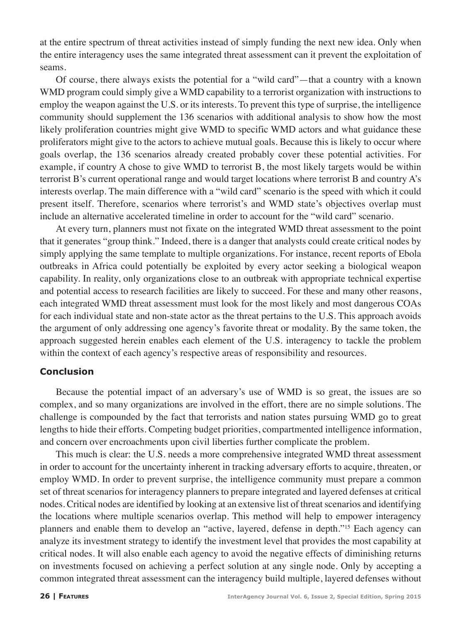at the entire spectrum of threat activities instead of simply funding the next new idea. Only when the entire interagency uses the same integrated threat assessment can it prevent the exploitation of seams.

Of course, there always exists the potential for a "wild card"—that a country with a known WMD program could simply give a WMD capability to a terrorist organization with instructions to employ the weapon against the U.S. or its interests. To prevent this type of surprise, the intelligence community should supplement the 136 scenarios with additional analysis to show how the most likely proliferation countries might give WMD to specific WMD actors and what guidance these proliferators might give to the actors to achieve mutual goals. Because this is likely to occur where goals overlap, the 136 scenarios already created probably cover these potential activities. For example, if country A chose to give WMD to terrorist B, the most likely targets would be within terrorist B's current operational range and would target locations where terrorist B and country A's interests overlap. The main difference with a "wild card" scenario is the speed with which it could present itself. Therefore, scenarios where terrorist's and WMD state's objectives overlap must include an alternative accelerated timeline in order to account for the "wild card" scenario.

At every turn, planners must not fixate on the integrated WMD threat assessment to the point that it generates "group think." Indeed, there is a danger that analysts could create critical nodes by simply applying the same template to multiple organizations. For instance, recent reports of Ebola outbreaks in Africa could potentially be exploited by every actor seeking a biological weapon capability. In reality, only organizations close to an outbreak with appropriate technical expertise and potential access to research facilities are likely to succeed. For these and many other reasons, each integrated WMD threat assessment must look for the most likely and most dangerous COAs for each individual state and non-state actor as the threat pertains to the U.S. This approach avoids the argument of only addressing one agency's favorite threat or modality. By the same token, the approach suggested herein enables each element of the U.S. interagency to tackle the problem within the context of each agency's respective areas of responsibility and resources.

#### **Conclusion**

Because the potential impact of an adversary's use of WMD is so great, the issues are so complex, and so many organizations are involved in the effort, there are no simple solutions. The challenge is compounded by the fact that terrorists and nation states pursuing WMD go to great lengths to hide their efforts. Competing budget priorities, compartmented intelligence information, and concern over encroachments upon civil liberties further complicate the problem.

This much is clear: the U.S. needs a more comprehensive integrated WMD threat assessment in order to account for the uncertainty inherent in tracking adversary efforts to acquire, threaten, or employ WMD. In order to prevent surprise, the intelligence community must prepare a common set of threat scenarios for interagency planners to prepare integrated and layered defenses at critical nodes. Critical nodes are identified by looking at an extensive list of threat scenarios and identifying the locations where multiple scenarios overlap. This method will help to empower interagency planners and enable them to develop an "active, layered, defense in depth."<sup>15</sup> Each agency can analyze its investment strategy to identify the investment level that provides the most capability at critical nodes. It will also enable each agency to avoid the negative effects of diminishing returns on investments focused on achieving a perfect solution at any single node. Only by accepting a common integrated threat assessment can the interagency build multiple, layered defenses without